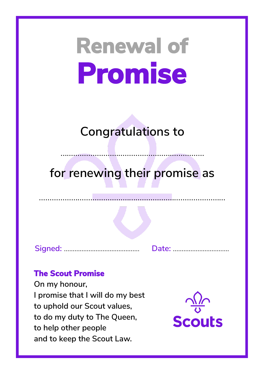**Congratulations to**

### **for renewing their promise as**

……………………………………...……………………………………

……………………………………………….…………

**Signed:** ……………...……………………. **Date:** …………………....…….

#### **The Scout Promise**

**On my honour, I promise that I will do my best to uphold our Scout values, to do my duty to The Queen, to help other people and to keep the Scout Law.**

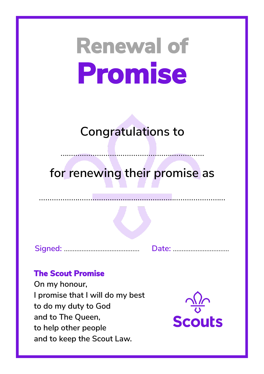**Congratulations to**

### **for renewing their promise as**

……………………………………………….…………

**Signed:** ……………...……………………. **Date:** …………………....…….

……………………………………...……………………………………

### **The Scout Promise**

**On my honour, I promise that I will do my best to do my duty to God and to The Queen, to help other people and to keep the Scout Law.**

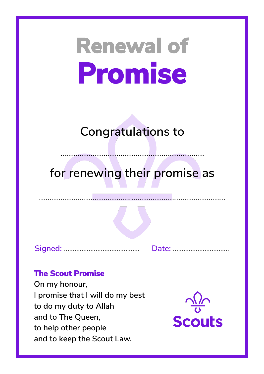**Congratulations to**

### **for renewing their promise as**

……………………………………………….…………

**Signed:** ……………...……………………. **Date:** …………………....…….

……………………………………...……………………………………

### **The Scout Promise**

**On my honour, I promise that I will do my best to do my duty to Allah and to The Queen, to help other people and to keep the Scout Law.**

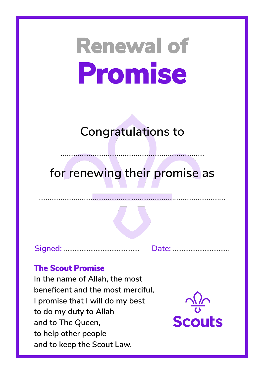**Congratulations to**

### **for renewing their promise as**

……………………………………...……………………………………

……………………………………………….…………

**Signed:** ……………...……………………. **Date:** …………………....…….

### **The Scout Promise**

**In the name of Allah, the most beneficent and the most merciful, I promise that I will do my best to do my duty to Allah and to The Queen, to help other people and to keep the Scout Law.**

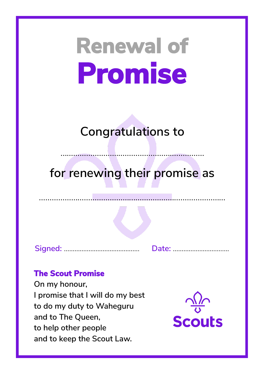**Congratulations to**

## **for renewing their promise as**

……………………………………………….…………

**Signed:** ……………...……………………. **Date:** …………………....…….

……………………………………...……………………………………

### **The Scout Promise**

**On my honour, I promise that I will do my best to do my duty to Waheguru and to The Queen, to help other people and to keep the Scout Law.**

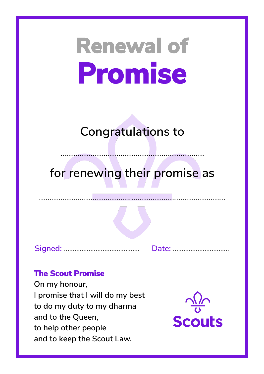**Congratulations to**

### **for renewing their promise as**

……………………………………………….…………

**Signed:** ……………...……………………. **Date:** …………………....…….

……………………………………...……………………………………

### **The Scout Promise**

**On my honour, I promise that I will do my best to do my duty to my dharma and to the Queen, to help other people and to keep the Scout Law.**